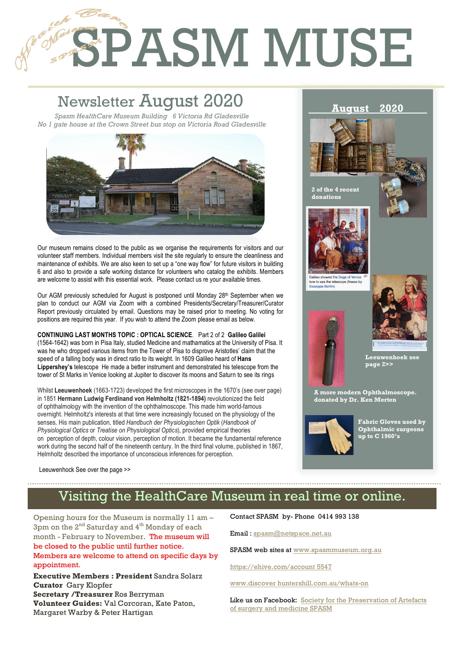# **SPASM MUSE Retinoscope used C 1950's to**

# Newsletter August 2020

1

2

**August 2020** *Spasm HealthCare Museum Building 6 Victoria Rd Gladesville No 1 gate house at the Crown Street bus stop on Victoria Road Gladesville*



Our museum remains closed to the public as we organise the requirements for visitors and our volunteer staff members. Individual members visit the site regularly to ensure the cleanliness and maintenance of exhibits. We are also keen to set up a "one way flow" for future visitors in building 6 and also to provide a safe working distance for volunteers who catalog the exhibits. Members are welcome to assist with this essential work. Please contact us re your available times.

Our AGM previously scheduled for August is postponed until Monday 28<sup>th</sup> September when we plan to conduct our AGM via Zoom with a combined Presidents/Secretary/Treasurer/Curator Report previously circulated by email. Questions may be raised prior to meeting. No voting for positions are required this year. If you wish to attend the Zoom please email as below.

**CONTINUING LAST MONTHS TOPIC : OPTICAL SCIENCE**. Part 2 of 2 **Galileo Galilei** (1564-1642) was born in Pisa Italy, studied Medicine and mathamatics at the University of Pisa. It was he who dropped various items from the Tower of Pisa to disprove Aristotles' claim that the speed of a falling body was in direct ratio to its weight. In 1609 Galileo heard of **Hans Lippershey's** telescope He made a better instrument and demonstrated his telescope from the tower of St Marks in Venice looking at Jupiter to discover its moons and Saturn to see its rings

Whilst **Leeuwenhoek** (1663-1723) developed the first microscopes in the 1670's (see over page) in 1851 **Hermann Ludwig Ferdinand von Helmholtz (1821-1894)** revolutionized the field of ophthalmology with the invention of the ophthalmoscope. This made him world-famous overnight. Helmholtz's interests at that time were increasingly focused on the physiology of the senses. His main publication, titled *Handbuch der Physiologischen Optik* (*Handbook of Physiological Optics* or *Treatise on Physiological Optics*), provided empirical theories on perception of depth, colour vision, perception of motion. It became the fundamental reference work during the second half of the nineteenth century. In the third final volume, published in 1867, Helmholtz described the importance of unconscious inferences for perception.



**2 of the 4 recent donations** 









w to use the te



**Leeuwenhoek see page 2>>** 

**A more modern Ophthalmoscope. donated by Dr. Ken Merten** 



**Fabric Gloves used by Ophthalmic surgeons up to C 1960's**

Leeuwenhock See over the page >>

# Visiting the HealthCare Museum in real time or online.

Opening hours for the Museum is normally 11 am – 3pm on the  $2^{nd}$  Saturday and  $4^{th}$  Monday of each month - February to November. The museum will be closed to the public until further notice. Members are welcome to attend on specific days by appointment.

**Executive Members : President** Sandra Solarz **Curator** Gary Klopfer **Secretary /Treasurer** Ros Berryman **Volunteer Guides:** Val Corcoran, Kate Paton, Margaret Warby & Peter Hartigan

Contact SPASM by- Phone 0414 993 138

Email : spasm@netspace.net.au

SPASM web sites at www.spasmmuseum.org.au

https://ehive.com/account 5547

www.discover huntershill.com.au/whats-on

Like us on Facebook: Society for the Preservation of Artefacts of surgery and medicine SPASM